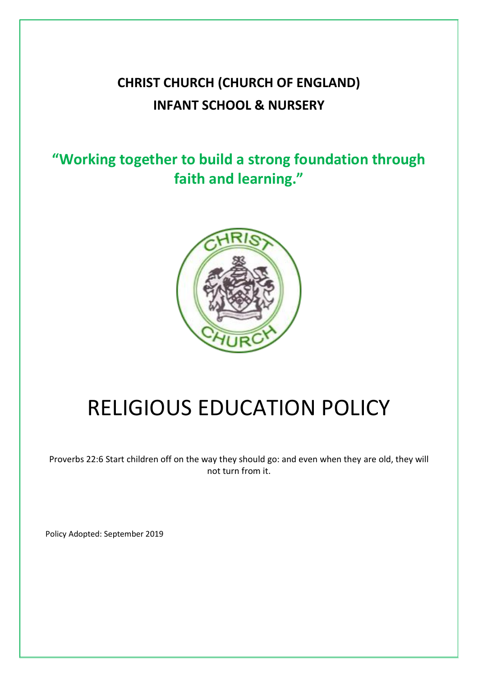# **CHRIST CHURCH (CHURCH OF ENGLAND) INFANT SCHOOL & NURSERY**

# **"Working together to build a strong foundation through faith and learning."**



# RELIGIOUS EDUCATION POLICY

Proverbs 22:6 Start children off on the way they should go: and even when they are old, they will not turn from it.

Policy Adopted: September 2019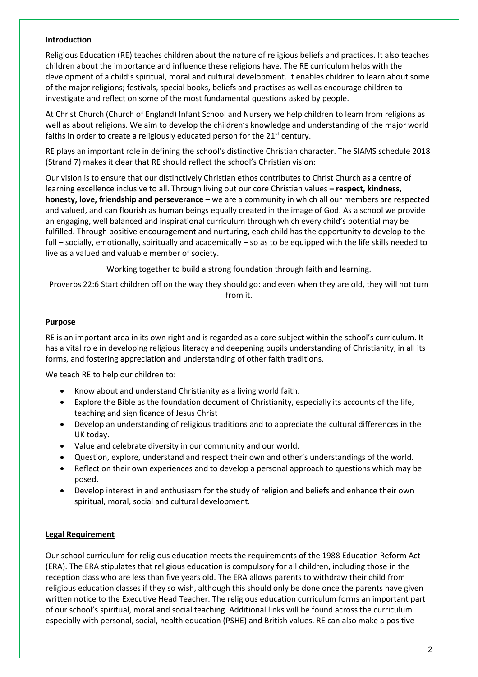# **Introduction**

Religious Education (RE) teaches children about the nature of religious beliefs and practices. It also teaches children about the importance and influence these religions have. The RE curriculum helps with the development of a child's spiritual, moral and cultural development. It enables children to learn about some of the major religions; festivals, special books, beliefs and practises as well as encourage children to investigate and reflect on some of the most fundamental questions asked by people.

At Christ Church (Church of England) Infant School and Nursery we help children to learn from religions as well as about religions. We aim to develop the children's knowledge and understanding of the major world faiths in order to create a religiously educated person for the 21<sup>st</sup> century.

RE plays an important role in defining the school's distinctive Christian character. The SIAMS schedule 2018 (Strand 7) makes it clear that RE should reflect the school's Christian vision:

Our vision is to ensure that our distinctively Christian ethos contributes to Christ Church as a centre of learning excellence inclusive to all. Through living out our core Christian values **– respect, kindness, honesty, love, friendship and perseverance** – we are a community in which all our members are respected and valued, and can flourish as human beings equally created in the image of God. As a school we provide an engaging, well balanced and inspirational curriculum through which every child's potential may be fulfilled. Through positive encouragement and nurturing, each child has the opportunity to develop to the full – socially, emotionally, spiritually and academically – so as to be equipped with the life skills needed to live as a valued and valuable member of society.

Working together to build a strong foundation through faith and learning.

Proverbs 22:6 Start children off on the way they should go: and even when they are old, they will not turn from it.

#### **Purpose**

RE is an important area in its own right and is regarded as a core subject within the school's curriculum. It has a vital role in developing religious literacy and deepening pupils understanding of Christianity, in all its forms, and fostering appreciation and understanding of other faith traditions.

We teach RE to help our children to:

- Know about and understand Christianity as a living world faith.
- Explore the Bible as the foundation document of Christianity, especially its accounts of the life, teaching and significance of Jesus Christ
- Develop an understanding of religious traditions and to appreciate the cultural differences in the UK today.
- Value and celebrate diversity in our community and our world.
- Question, explore, understand and respect their own and other's understandings of the world.
- Reflect on their own experiences and to develop a personal approach to questions which may be posed.
- Develop interest in and enthusiasm for the study of religion and beliefs and enhance their own spiritual, moral, social and cultural development.

# **Legal Requirement**

Our school curriculum for religious education meets the requirements of the 1988 Education Reform Act (ERA). The ERA stipulates that religious education is compulsory for all children, including those in the reception class who are less than five years old. The ERA allows parents to withdraw their child from religious education classes if they so wish, although this should only be done once the parents have given written notice to the Executive Head Teacher. The religious education curriculum forms an important part of our school's spiritual, moral and social teaching. Additional links will be found across the curriculum especially with personal, social, health education (PSHE) and British values. RE can also make a positive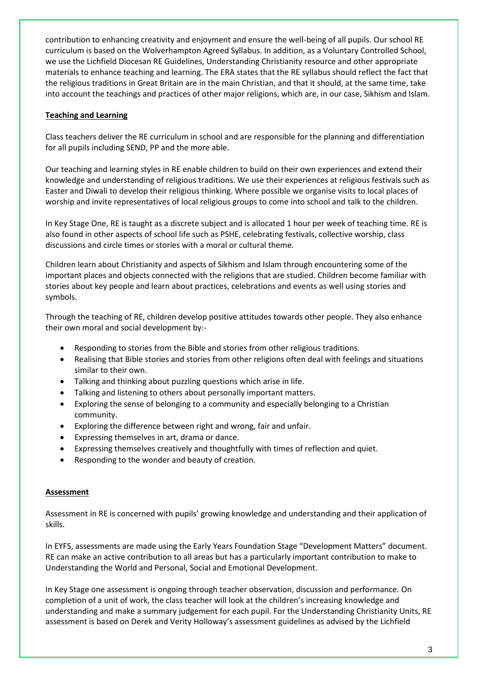contribution to enhancing creativity and enjoyment and ensure the well-being of all pupils. Our school RE curriculum is based on the Wolverhampton Agreed Syllabus. In addition, as a Voluntary Controlled School, we use the Lichfield Diocesan RE Guidelines, Understanding Christianity resource and other appropriate materials to enhance teaching and learning. The ERA states that the RE syllabus should reflect the fact that the religious traditions in Great Britain are in the main Christian, and that it should, at the same time, take into account the teachings and practices of other major religions, which are, in our case, Sikhism and Islam.

# **Teaching and Learning**

Class teachers deliver the RE curriculum in school and are responsible for the planning and differentiation for all pupils including SEND, PP and the more able.

Our teaching and learning styles in RE enable children to build on their own experiences and extend their knowledge and understanding of religious traditions. We use their experiences at religious festivals such as Easter and Diwali to develop their religious thinking. Where possible we organise visits to local places of worship and invite representatives of local religious groups to come into school and talk to the children.

In Key Stage One, RE is taught as a discrete subject and is allocated 1 hour per week of teaching time. RE is also found in other aspects of school life such as PSHE, celebrating festivals, collective worship, class discussions and circle times or stories with a moral or cultural theme.

Children learn about Christianity and aspects of Sikhism and Islam through encountering some of the important places and objects connected with the religions that are studied. Children become familiar with stories about key people and learn about practices, celebrations and events as well using stories and symbols.

Through the teaching of RE, children develop positive attitudes towards other people. They also enhance their own moral and social development by:-

- Responding to stories from the Bible and stories from other religious traditions.
- Realising that Bible stories and stories from other religions often deal with feelings and situations similar to their own.
- Talking and thinking about puzzling questions which arise in life.
- Talking and listening to others about personally important matters.
- Exploring the sense of belonging to a community and especially belonging to a Christian community.
- Exploring the difference between right and wrong, fair and unfair.
- Expressing themselves in art, drama or dance.
- Expressing themselves creatively and thoughtfully with times of reflection and quiet.
- Responding to the wonder and beauty of creation.

#### **Assessment**

Assessment in RE is concerned with pupils' growing knowledge and understanding and their application of skills.

In EYFS, assessments are made using the Early Years Foundation Stage "Development Matters" document. RE can make an active contribution to all areas but has a particularly important contribution to make to Understanding the World and Personal, Social and Emotional Development.

In Key Stage one assessment is ongoing through teacher observation, discussion and performance. On completion of a unit of work, the class teacher will look at the children's increasing knowledge and understanding and make a summary judgement for each pupil. For the Understanding Christianity Units, RE assessment is based on Derek and Verity Holloway's assessment guidelines as advised by the Lichfield